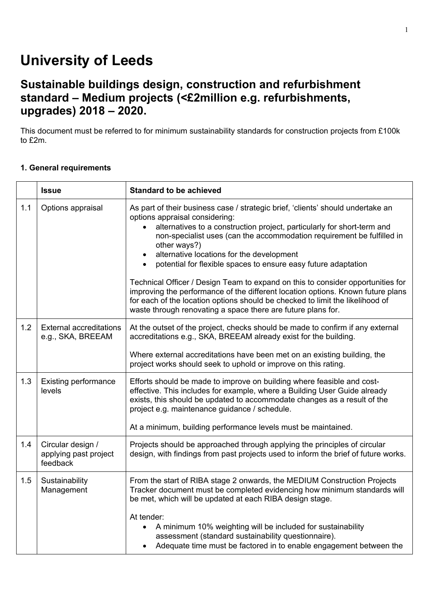# **University of Leeds**

## **Sustainable buildings design, construction and refurbishment standard – Medium projects (<£2million e.g. refurbishments, upgrades) 2018 – 2020.**

This document must be referred to for minimum sustainability standards for construction projects from £100k to £2m.

### **1. General requirements**

|     | <b>Issue</b>                                           | <b>Standard to be achieved</b>                                                                                                                                                                                                                                                                                                                                                                                                                                                                                                                                                                                                                                                                                                                         |
|-----|--------------------------------------------------------|--------------------------------------------------------------------------------------------------------------------------------------------------------------------------------------------------------------------------------------------------------------------------------------------------------------------------------------------------------------------------------------------------------------------------------------------------------------------------------------------------------------------------------------------------------------------------------------------------------------------------------------------------------------------------------------------------------------------------------------------------------|
| 1.1 | Options appraisal                                      | As part of their business case / strategic brief, 'clients' should undertake an<br>options appraisal considering:<br>alternatives to a construction project, particularly for short-term and<br>non-specialist uses (can the accommodation requirement be fulfilled in<br>other ways?)<br>alternative locations for the development<br>$\bullet$<br>potential for flexible spaces to ensure easy future adaptation<br>$\bullet$<br>Technical Officer / Design Team to expand on this to consider opportunities for<br>improving the performance of the different location options. Known future plans<br>for each of the location options should be checked to limit the likelihood of<br>waste through renovating a space there are future plans for. |
| 1.2 | <b>External accreditations</b><br>e.g., SKA, BREEAM    | At the outset of the project, checks should be made to confirm if any external<br>accreditations e.g., SKA, BREEAM already exist for the building.<br>Where external accreditations have been met on an existing building, the<br>project works should seek to uphold or improve on this rating.                                                                                                                                                                                                                                                                                                                                                                                                                                                       |
| 1.3 | <b>Existing performance</b><br>levels                  | Efforts should be made to improve on building where feasible and cost-<br>effective. This includes for example, where a Building User Guide already<br>exists, this should be updated to accommodate changes as a result of the<br>project e.g. maintenance guidance / schedule.<br>At a minimum, building performance levels must be maintained.                                                                                                                                                                                                                                                                                                                                                                                                      |
| 1.4 | Circular design /<br>applying past project<br>feedback | Projects should be approached through applying the principles of circular<br>design, with findings from past projects used to inform the brief of future works.                                                                                                                                                                                                                                                                                                                                                                                                                                                                                                                                                                                        |
| 1.5 | Sustainability<br>Management                           | From the start of RIBA stage 2 onwards, the MEDIUM Construction Projects<br>Tracker document must be completed evidencing how minimum standards will<br>be met, which will be updated at each RIBA design stage.<br>At tender:<br>• A minimum 10% weighting will be included for sustainability<br>assessment (standard sustainability questionnaire).<br>Adequate time must be factored in to enable engagement between the<br>$\bullet$                                                                                                                                                                                                                                                                                                              |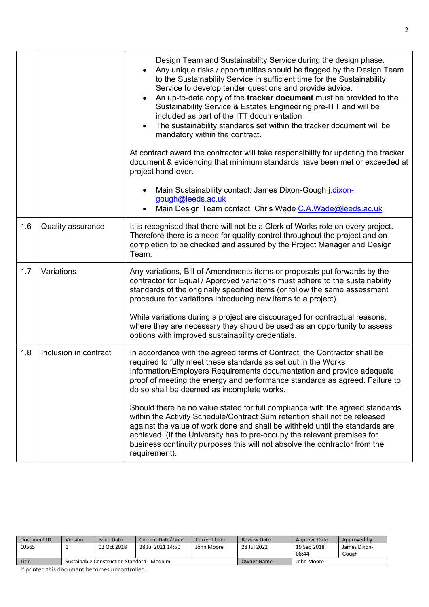|     |                       | Design Team and Sustainability Service during the design phase.<br>Any unique risks / opportunities should be flagged by the Design Team<br>to the Sustainability Service in sufficient time for the Sustainability<br>Service to develop tender questions and provide advice.<br>An up-to-date copy of the tracker document must be provided to the<br>$\bullet$<br>Sustainability Service & Estates Engineering pre-ITT and will be<br>included as part of the ITT documentation<br>The sustainability standards set within the tracker document will be<br>mandatory within the contract.<br>At contract award the contractor will take responsibility for updating the tracker<br>document & evidencing that minimum standards have been met or exceeded at<br>project hand-over. |
|-----|-----------------------|---------------------------------------------------------------------------------------------------------------------------------------------------------------------------------------------------------------------------------------------------------------------------------------------------------------------------------------------------------------------------------------------------------------------------------------------------------------------------------------------------------------------------------------------------------------------------------------------------------------------------------------------------------------------------------------------------------------------------------------------------------------------------------------|
|     |                       | Main Sustainability contact: James Dixon-Gough <i>j.dixon-</i><br>gough@leeds.ac.uk<br>Main Design Team contact: Chris Wade C.A. Wade@leeds.ac.uk                                                                                                                                                                                                                                                                                                                                                                                                                                                                                                                                                                                                                                     |
| 1.6 | Quality assurance     | It is recognised that there will not be a Clerk of Works role on every project.<br>Therefore there is a need for quality control throughout the project and on<br>completion to be checked and assured by the Project Manager and Design<br>Team.                                                                                                                                                                                                                                                                                                                                                                                                                                                                                                                                     |
| 1.7 | Variations            | Any variations, Bill of Amendments items or proposals put forwards by the<br>contractor for Equal / Approved variations must adhere to the sustainability<br>standards of the originally specified items (or follow the same assessment<br>procedure for variations introducing new items to a project).<br>While variations during a project are discouraged for contractual reasons,<br>where they are necessary they should be used as an opportunity to assess<br>options with improved sustainability credentials.                                                                                                                                                                                                                                                               |
| 1.8 | Inclusion in contract | In accordance with the agreed terms of Contract, the Contractor shall be<br>required to fully meet these standards as set out in the Works<br>Information/Employers Requirements documentation and provide adequate<br>proof of meeting the energy and performance standards as agreed. Failure to<br>do so shall be deemed as incomplete works.                                                                                                                                                                                                                                                                                                                                                                                                                                      |
|     |                       | Should there be no value stated for full compliance with the agreed standards<br>within the Activity Schedule/Contract Sum retention shall not be released<br>against the value of work done and shall be withheld until the standards are<br>achieved. (If the University has to pre-occupy the relevant premises for<br>business continuity purposes this will not absolve the contractor from the<br>requirement).                                                                                                                                                                                                                                                                                                                                                                 |

| Document ID | <b>Version</b> | Issue Date                                 | <b>Current Date/Time</b> | Current User | <b>Review Date</b> | Approve Date | Approved by  |
|-------------|----------------|--------------------------------------------|--------------------------|--------------|--------------------|--------------|--------------|
| 10565       |                | 03 Oct 2018                                | 28 Jul 2021 14:50        | John Moore   | 28 Jul 2022        | 19 Sep 2018  | James Dixon- |
|             |                |                                            |                          |              |                    | 08:44        | Gough        |
| Title       |                | Sustainable Construction Standard - Medium |                          |              | <b>Owner Name</b>  | John Moore   |              |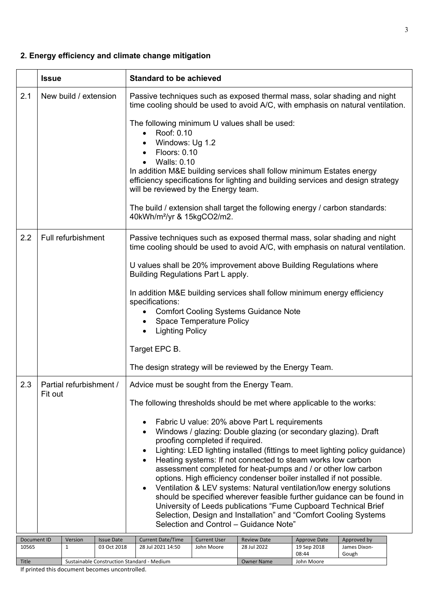### **2. Energy efficiency and climate change mitigation**

|             | <b>Issue</b>                               | <b>Standard to be achieved</b>                                                                                                                                                                                                                                                                                                                                                                                                                                                                                                                                                                                                                                                                                                                                                                                                                                                                        |                    |                     |              |  |  |  |  |
|-------------|--------------------------------------------|-------------------------------------------------------------------------------------------------------------------------------------------------------------------------------------------------------------------------------------------------------------------------------------------------------------------------------------------------------------------------------------------------------------------------------------------------------------------------------------------------------------------------------------------------------------------------------------------------------------------------------------------------------------------------------------------------------------------------------------------------------------------------------------------------------------------------------------------------------------------------------------------------------|--------------------|---------------------|--------------|--|--|--|--|
| 2.1         | New build / extension                      | Passive techniques such as exposed thermal mass, solar shading and night<br>time cooling should be used to avoid A/C, with emphasis on natural ventilation.<br>The following minimum U values shall be used:<br>Roof: 0.10<br>$\bullet$<br>Windows: Ug 1.2<br>Floors: 0.10<br><b>Walls: 0.10</b><br>In addition M&E building services shall follow minimum Estates energy<br>efficiency specifications for lighting and building services and design strategy<br>will be reviewed by the Energy team.<br>The build / extension shall target the following energy / carbon standards:<br>40kWh/m <sup>2</sup> /yr & 15kgCO2/m2.                                                                                                                                                                                                                                                                        |                    |                     |              |  |  |  |  |
| 2.2         | Full refurbishment                         | Passive techniques such as exposed thermal mass, solar shading and night<br>time cooling should be used to avoid A/C, with emphasis on natural ventilation.<br>U values shall be 20% improvement above Building Regulations where<br>Building Regulations Part L apply.<br>In addition M&E building services shall follow minimum energy efficiency<br>specifications:<br><b>Comfort Cooling Systems Guidance Note</b><br><b>Space Temperature Policy</b><br><b>Lighting Policy</b><br>Target EPC B.<br>The design strategy will be reviewed by the Energy Team.                                                                                                                                                                                                                                                                                                                                      |                    |                     |              |  |  |  |  |
| 2.3         | Partial refurbishment /<br>Fit out         | Advice must be sought from the Energy Team.<br>The following thresholds should be met where applicable to the works:<br>Fabric U value: 20% above Part L requirements<br>Windows / glazing: Double glazing (or secondary glazing). Draft<br>proofing completed if required.<br>Lighting: LED lighting installed (fittings to meet lighting policy guidance)<br>Heating systems: If not connected to steam works low carbon<br>assessment completed for heat-pumps and / or other low carbon<br>options. High efficiency condenser boiler installed if not possible.<br>Ventilation & LEV systems: Natural ventilation/low energy solutions<br>should be specified wherever feasible further guidance can be found in<br>University of Leeds publications "Fume Cupboard Technical Brief<br>Selection, Design and Installation" and "Comfort Cooling Systems<br>Selection and Control - Guidance Note" |                    |                     |              |  |  |  |  |
| Document ID | Version<br><b>Issue Date</b>               | <b>Current Date/Time</b><br><b>Current User</b>                                                                                                                                                                                                                                                                                                                                                                                                                                                                                                                                                                                                                                                                                                                                                                                                                                                       | <b>Review Date</b> | <b>Approve Date</b> | Approved by  |  |  |  |  |
| 10565       | 1<br>03 Oct 2018                           | 28 Jul 2021 14:50<br>John Moore                                                                                                                                                                                                                                                                                                                                                                                                                                                                                                                                                                                                                                                                                                                                                                                                                                                                       | 28 Jul 2022        | 19 Sep 2018         | James Dixon- |  |  |  |  |
| Title       | Sustainable Construction Standard - Medium |                                                                                                                                                                                                                                                                                                                                                                                                                                                                                                                                                                                                                                                                                                                                                                                                                                                                                                       | <b>Owner Name</b>  | 08:44<br>John Moore | Gough        |  |  |  |  |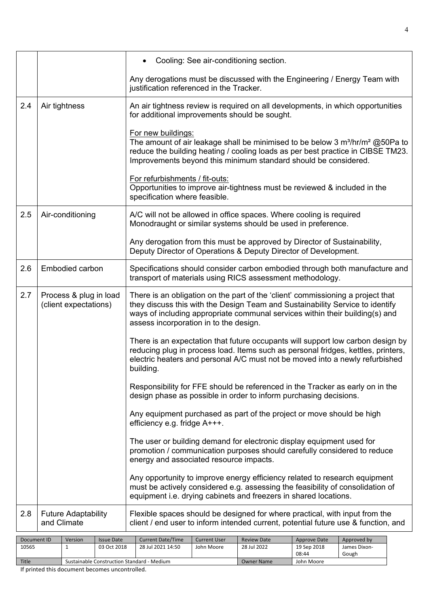|     |                        | Any equipment purchased as part of the project or move should be high<br>efficiency e.g. fridge A+++.<br>The user or building demand for electronic display equipment used for<br>promotion / communication purposes should carefully considered to reduce<br>energy and associated resource impacts. |
|-----|------------------------|-------------------------------------------------------------------------------------------------------------------------------------------------------------------------------------------------------------------------------------------------------------------------------------------------------|
|     |                        |                                                                                                                                                                                                                                                                                                       |
|     |                        |                                                                                                                                                                                                                                                                                                       |
|     |                        |                                                                                                                                                                                                                                                                                                       |
|     |                        | design phase as possible in order to inform purchasing decisions.                                                                                                                                                                                                                                     |
|     |                        | Responsibility for FFE should be referenced in the Tracker as early on in the                                                                                                                                                                                                                         |
|     |                        | reducing plug in process load. Items such as personal fridges, kettles, printers,<br>electric heaters and personal A/C must not be moved into a newly refurbished<br>building.                                                                                                                        |
|     |                        | There is an expectation that future occupants will support low carbon design by                                                                                                                                                                                                                       |
|     | (client expectations)  | they discuss this with the Design Team and Sustainability Service to identify<br>ways of including appropriate communal services within their building(s) and<br>assess incorporation in to the design.                                                                                               |
| 2.7 | Process & plug in load | There is an obligation on the part of the 'client' commissioning a project that                                                                                                                                                                                                                       |
| 2.6 | <b>Embodied carbon</b> | Specifications should consider carbon embodied through both manufacture and<br>transport of materials using RICS assessment methodology.                                                                                                                                                              |
|     |                        | Any derogation from this must be approved by Director of Sustainability,<br>Deputy Director of Operations & Deputy Director of Development.                                                                                                                                                           |
| 2.5 | Air-conditioning       | A/C will not be allowed in office spaces. Where cooling is required<br>Monodraught or similar systems should be used in preference.                                                                                                                                                                   |
|     |                        | Opportunities to improve air-tightness must be reviewed & included in the<br>specification where feasible.                                                                                                                                                                                            |
|     |                        | Improvements beyond this minimum standard should be considered.<br>For refurbishments / fit-outs:                                                                                                                                                                                                     |
|     |                        | For new buildings:<br>The amount of air leakage shall be minimised to be below 3 $m^3/hr/m^2$ @50Pa to<br>reduce the building heating / cooling loads as per best practice in CIBSE TM23.                                                                                                             |
| 2.4 | Air tightness          | An air tightness review is required on all developments, in which opportunities<br>for additional improvements should be sought.                                                                                                                                                                      |
|     |                        | Any derogations must be discussed with the Engineering / Energy Team with<br>justification referenced in the Tracker.                                                                                                                                                                                 |
|     |                        | Cooling: See air-conditioning section.                                                                                                                                                                                                                                                                |

| Document ID  | Version                                    | <b>Issue Date</b> | <b>Current Date/Time</b> | <b>Current User</b> | <b>Review Date</b> | Approve Date | Approved by  |
|--------------|--------------------------------------------|-------------------|--------------------------|---------------------|--------------------|--------------|--------------|
| 10565        |                                            | 03 Oct 2018       | 28 Jul 2021 14:50        | John Moore          | 28 Jul 2022        | 19 Sep 2018  | James Dixon- |
|              |                                            |                   |                          |                     |                    | 08:44        | Gough        |
| <b>Title</b> | Sustainable Construction Standard - Medium |                   |                          |                     | <b>Owner Name</b>  | John Moore   |              |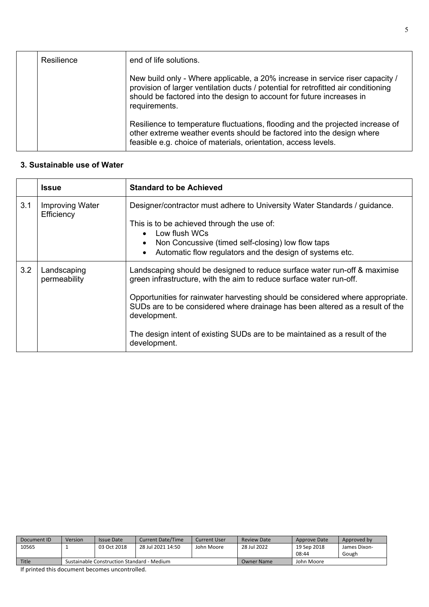| Resilience | end of life solutions.                                                                                                                                                                                                                                        |
|------------|---------------------------------------------------------------------------------------------------------------------------------------------------------------------------------------------------------------------------------------------------------------|
|            | New build only - Where applicable, a 20% increase in service riser capacity /<br>provision of larger ventilation ducts / potential for retrofitted air conditioning<br>should be factored into the design to account for future increases in<br>requirements. |
|            | Resilience to temperature fluctuations, flooding and the projected increase of<br>other extreme weather events should be factored into the design where<br>feasible e.g. choice of materials, orientation, access levels.                                     |

#### **3. Sustainable use of Water**

|     | <b>Issue</b>                         | <b>Standard to be Achieved</b>                                                                                                                                                                                                                                                                                                                                                                                                   |
|-----|--------------------------------------|----------------------------------------------------------------------------------------------------------------------------------------------------------------------------------------------------------------------------------------------------------------------------------------------------------------------------------------------------------------------------------------------------------------------------------|
| 3.1 | <b>Improving Water</b><br>Efficiency | Designer/contractor must adhere to University Water Standards / guidance.<br>This is to be achieved through the use of:<br>Low flush WCs<br>Non Concussive (timed self-closing) low flow taps<br>Automatic flow regulators and the design of systems etc.                                                                                                                                                                        |
| 3.2 | Landscaping<br>permeability          | Landscaping should be designed to reduce surface water run-off & maximise<br>green infrastructure, with the aim to reduce surface water run-off.<br>Opportunities for rainwater harvesting should be considered where appropriate.<br>SUDs are to be considered where drainage has been altered as a result of the<br>development.<br>The design intent of existing SUDs are to be maintained as a result of the<br>development. |

| <b>Version</b> | Issue Date  | <b>Current Date/Time</b> | <b>Current User</b>                        | <b>Review Date</b> | Approve Date | Approved by  |
|----------------|-------------|--------------------------|--------------------------------------------|--------------------|--------------|--------------|
|                | 03 Oct 2018 | 28 Jul 2021 14:50        | John Moore                                 | 28 Jul 2022        | 19 Sep 2018  | James Dixon- |
|                |             |                          |                                            |                    | 08:44        | Gough        |
|                |             |                          | Owner Name                                 | John Moore         |              |              |
|                |             |                          | Sustainable Construction Standard - Medium |                    |              |              |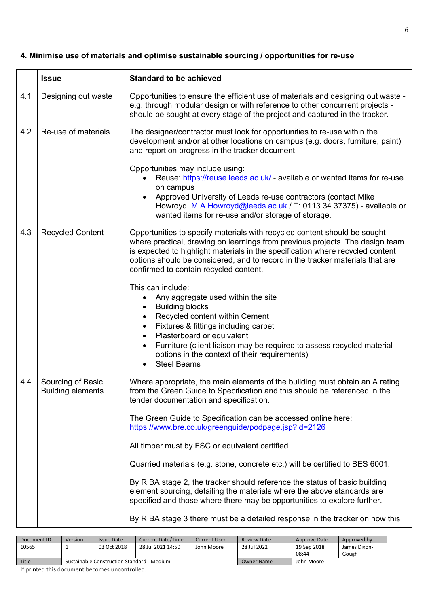### **4. Minimise use of materials and optimise sustainable sourcing / opportunities for re-use**

|     | <b>Issue</b>                                  | <b>Standard to be achieved</b>                                                                                                                                                                                                                                                                                                                                                                                                                                                                                                                                                                                                                                                                          |
|-----|-----------------------------------------------|---------------------------------------------------------------------------------------------------------------------------------------------------------------------------------------------------------------------------------------------------------------------------------------------------------------------------------------------------------------------------------------------------------------------------------------------------------------------------------------------------------------------------------------------------------------------------------------------------------------------------------------------------------------------------------------------------------|
| 4.1 | Designing out waste                           | Opportunities to ensure the efficient use of materials and designing out waste -<br>e.g. through modular design or with reference to other concurrent projects -<br>should be sought at every stage of the project and captured in the tracker.                                                                                                                                                                                                                                                                                                                                                                                                                                                         |
| 4.2 | Re-use of materials                           | The designer/contractor must look for opportunities to re-use within the<br>development and/or at other locations on campus (e.g. doors, furniture, paint)<br>and report on progress in the tracker document.                                                                                                                                                                                                                                                                                                                                                                                                                                                                                           |
|     |                                               | Opportunities may include using:<br>Reuse: https://reuse.leeds.ac.uk/ - available or wanted items for re-use<br>on campus<br>Approved University of Leeds re-use contractors (contact Mike<br>Howroyd: M.A.Howroyd@leeds.ac.uk / T: 0113 34 37375) - available or<br>wanted items for re-use and/or storage of storage.                                                                                                                                                                                                                                                                                                                                                                                 |
| 4.3 | <b>Recycled Content</b>                       | Opportunities to specify materials with recycled content should be sought<br>where practical, drawing on learnings from previous projects. The design team<br>is expected to highlight materials in the specification where recycled content<br>options should be considered, and to record in the tracker materials that are<br>confirmed to contain recycled content.                                                                                                                                                                                                                                                                                                                                 |
|     |                                               | This can include:<br>Any aggregate used within the site<br><b>Building blocks</b><br>Recycled content within Cement<br>$\bullet$<br>Fixtures & fittings including carpet<br>Plasterboard or equivalent<br>$\bullet$<br>Furniture (client liaison may be required to assess recycled material<br>options in the context of their requirements)<br><b>Steel Beams</b>                                                                                                                                                                                                                                                                                                                                     |
| 4.4 | Sourcing of Basic<br><b>Building elements</b> | Where appropriate, the main elements of the building must obtain an A rating<br>from the Green Guide to Specification and this should be referenced in the<br>tender documentation and specification.<br>The Green Guide to Specification can be accessed online here:<br>https://www.bre.co.uk/greenguide/podpage.jsp?id=2126<br>All timber must by FSC or equivalent certified.<br>Quarried materials (e.g. stone, concrete etc.) will be certified to BES 6001.<br>By RIBA stage 2, the tracker should reference the status of basic building<br>element sourcing, detailing the materials where the above standards are<br>specified and those where there may be opportunities to explore further. |
|     |                                               | By RIBA stage 3 there must be a detailed response in the tracker on how this                                                                                                                                                                                                                                                                                                                                                                                                                                                                                                                                                                                                                            |

| Version | Issue Date  | <b>Current Date/Time</b> | <b>Current User</b>                        | Review Date | Approve Date | Approved by  |
|---------|-------------|--------------------------|--------------------------------------------|-------------|--------------|--------------|
|         | 03 Oct 2018 | 28 Jul 2021 14:50        | John Moore                                 | 28 Jul 2022 | 19 Sep 2018  | James Dixon- |
|         |             |                          |                                            |             |              | Gough        |
|         |             |                          | <b>Owner Name</b>                          | John Moore  |              |              |
|         |             |                          | Sustainable Construction Standard - Medium |             |              | 08:44        |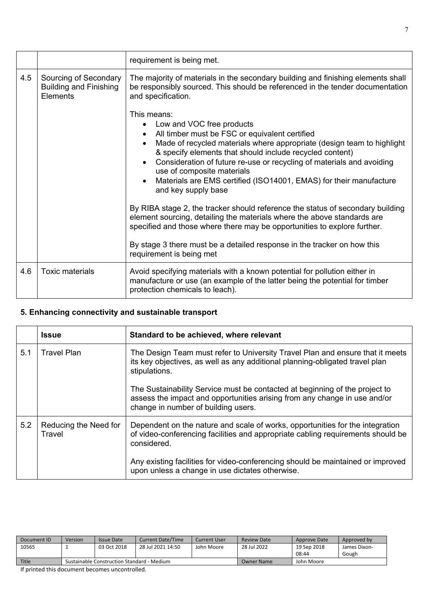|     |                                                                    | requirement is being met.                                                                                                                                                                                                                                                                                                                                                                                                                                                                                                                                                                                                                                                                                                                                                            |
|-----|--------------------------------------------------------------------|--------------------------------------------------------------------------------------------------------------------------------------------------------------------------------------------------------------------------------------------------------------------------------------------------------------------------------------------------------------------------------------------------------------------------------------------------------------------------------------------------------------------------------------------------------------------------------------------------------------------------------------------------------------------------------------------------------------------------------------------------------------------------------------|
| 4.5 | Sourcing of Secondary<br><b>Building and Finishing</b><br>Elements | The majority of materials in the secondary building and finishing elements shall<br>be responsibly sourced. This should be referenced in the tender documentation<br>and specification.                                                                                                                                                                                                                                                                                                                                                                                                                                                                                                                                                                                              |
|     |                                                                    | This means:<br>Low and VOC free products<br>All timber must be FSC or equivalent certified<br>Made of recycled materials where appropriate (design team to highlight<br>& specify elements that should include recycled content)<br>Consideration of future re-use or recycling of materials and avoiding<br>use of composite materials<br>Materials are EMS certified (ISO14001, EMAS) for their manufacture<br>and key supply base<br>By RIBA stage 2, the tracker should reference the status of secondary building<br>element sourcing, detailing the materials where the above standards are<br>specified and those where there may be opportunities to explore further.<br>By stage 3 there must be a detailed response in the tracker on how this<br>requirement is being met |
| 4.6 | <b>Toxic materials</b>                                             | Avoid specifying materials with a known potential for pollution either in<br>manufacture or use (an example of the latter being the potential for timber<br>protection chemicals to leach).                                                                                                                                                                                                                                                                                                                                                                                                                                                                                                                                                                                          |

### **5. Enhancing connectivity and sustainable transport**

|     | <b>Issue</b>                    | Standard to be achieved, where relevant                                                                                                                                                         |
|-----|---------------------------------|-------------------------------------------------------------------------------------------------------------------------------------------------------------------------------------------------|
| 5.1 | <b>Travel Plan</b>              | The Design Team must refer to University Travel Plan and ensure that it meets<br>its key objectives, as well as any additional planning-obligated travel plan<br>stipulations.                  |
|     |                                 | The Sustainability Service must be contacted at beginning of the project to<br>assess the impact and opportunities arising from any change in use and/or<br>change in number of building users. |
| 5.2 | Reducing the Need for<br>Travel | Dependent on the nature and scale of works, opportunities for the integration<br>of video-conferencing facilities and appropriate cabling requirements should be<br>considered.                 |
|     |                                 | Any existing facilities for video-conferencing should be maintained or improved<br>upon unless a change in use dictates otherwise.                                                              |

| Document ID | <b>Version</b> | Issue Date                                 | <b>Current Date/Time</b> | Current User | <b>Review Date</b> | Approve Date | Approved by  |
|-------------|----------------|--------------------------------------------|--------------------------|--------------|--------------------|--------------|--------------|
| 10565       |                | 03 Oct 2018                                | 28 Jul 2021 14:50        | John Moore   | 28 Jul 2022        | 19 Sep 2018  | James Dixon- |
|             |                |                                            |                          |              |                    | 08:44        | Gough        |
| Title       |                | Sustainable Construction Standard - Medium |                          | Owner Name   | John Moore         |              |              |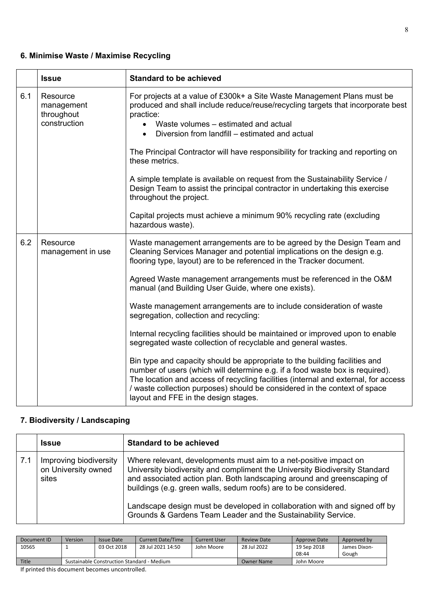### **6. Minimise Waste / Maximise Recycling**

|     | <b>Issue</b>                                         | <b>Standard to be achieved</b>                                                                                                                                                                                                                                                                                                                                                                                                                                                                                                                                                                                                                                                                                                                                                                                                                                                                                                                                                                    |
|-----|------------------------------------------------------|---------------------------------------------------------------------------------------------------------------------------------------------------------------------------------------------------------------------------------------------------------------------------------------------------------------------------------------------------------------------------------------------------------------------------------------------------------------------------------------------------------------------------------------------------------------------------------------------------------------------------------------------------------------------------------------------------------------------------------------------------------------------------------------------------------------------------------------------------------------------------------------------------------------------------------------------------------------------------------------------------|
| 6.1 | Resource<br>management<br>throughout<br>construction | For projects at a value of £300k+ a Site Waste Management Plans must be<br>produced and shall include reduce/reuse/recycling targets that incorporate best<br>practice:<br>Waste volumes - estimated and actual<br>Diversion from landfill – estimated and actual<br>$\bullet$<br>The Principal Contractor will have responsibility for tracking and reporting on<br>these metrics.<br>A simple template is available on request from the Sustainability Service /<br>Design Team to assist the principal contractor in undertaking this exercise<br>throughout the project.<br>Capital projects must achieve a minimum 90% recycling rate (excluding<br>hazardous waste).                                                                                                                                                                                                                                                                                                                        |
| 6.2 | Resource<br>management in use                        | Waste management arrangements are to be agreed by the Design Team and<br>Cleaning Services Manager and potential implications on the design e.g.<br>flooring type, layout) are to be referenced in the Tracker document.<br>Agreed Waste management arrangements must be referenced in the O&M<br>manual (and Building User Guide, where one exists).<br>Waste management arrangements are to include consideration of waste<br>segregation, collection and recycling:<br>Internal recycling facilities should be maintained or improved upon to enable<br>segregated waste collection of recyclable and general wastes.<br>Bin type and capacity should be appropriate to the building facilities and<br>number of users (which will determine e.g. if a food waste box is required).<br>The location and access of recycling facilities (internal and external, for access<br>/ waste collection purposes) should be considered in the context of space<br>layout and FFE in the design stages. |

### **7. Biodiversity / Landscaping**

|     | <b>Issue</b>                                           | <b>Standard to be achieved</b>                                                                                                                                                                                                                                                                                                                                                                                                                |
|-----|--------------------------------------------------------|-----------------------------------------------------------------------------------------------------------------------------------------------------------------------------------------------------------------------------------------------------------------------------------------------------------------------------------------------------------------------------------------------------------------------------------------------|
| 7.1 | Improving biodiversity<br>on University owned<br>sites | Where relevant, developments must aim to a net-positive impact on<br>University biodiversity and compliment the University Biodiversity Standard<br>and associated action plan. Both landscaping around and greenscaping of<br>buildings (e.g. green walls, sedum roofs) are to be considered.<br>Landscape design must be developed in collaboration with and signed off by<br>Grounds & Gardens Team Leader and the Sustainability Service. |

| Document ID | Version                                    | Issue Date  | <b>Current Date/Time</b> | <b>Current User</b> | <b>Review Date</b> | Approve Date | Approved by  |
|-------------|--------------------------------------------|-------------|--------------------------|---------------------|--------------------|--------------|--------------|
| 10565       |                                            | 03 Oct 2018 | 28 Jul 2021 14:50        | John Moore          | 28 Jul 2022        | 19 Sep 2018  | James Dixon- |
|             |                                            |             |                          |                     |                    | 08:44        | Gough        |
| Title       | Sustainable Construction Standard - Medium |             |                          |                     | Owner Name         | John Moore   |              |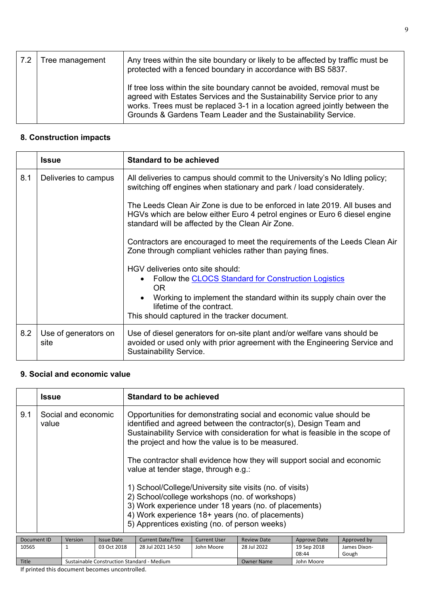| .7.2 | Tree management | Any trees within the site boundary or likely to be affected by traffic must be<br>protected with a fenced boundary in accordance with BS 5837.                                                                                                                                                      |
|------|-----------------|-----------------------------------------------------------------------------------------------------------------------------------------------------------------------------------------------------------------------------------------------------------------------------------------------------|
|      |                 | If tree loss within the site boundary cannot be avoided, removal must be<br>agreed with Estates Services and the Sustainability Service prior to any<br>works. Trees must be replaced 3-1 in a location agreed jointly between the<br>Grounds & Gardens Team Leader and the Sustainability Service. |

### **8. Construction impacts**

|     | <b>Issue</b>                 | <b>Standard to be achieved</b>                                                                                                                                                                                                                      |  |  |  |  |
|-----|------------------------------|-----------------------------------------------------------------------------------------------------------------------------------------------------------------------------------------------------------------------------------------------------|--|--|--|--|
| 8.1 | Deliveries to campus         | All deliveries to campus should commit to the University's No Idling policy;<br>switching off engines when stationary and park / load considerately.                                                                                                |  |  |  |  |
|     |                              | The Leeds Clean Air Zone is due to be enforced in late 2019. All buses and<br>HGVs which are below either Euro 4 petrol engines or Euro 6 diesel engine<br>standard will be affected by the Clean Air Zone.                                         |  |  |  |  |
|     |                              | Contractors are encouraged to meet the requirements of the Leeds Clean Air<br>Zone through compliant vehicles rather than paying fines.                                                                                                             |  |  |  |  |
|     |                              | HGV deliveries onto site should:<br>Follow the CLOCS Standard for Construction Logistics<br>OR.<br>Working to implement the standard within its supply chain over the<br>lifetime of the contract.<br>This should captured in the tracker document. |  |  |  |  |
| 8.2 | Use of generators on<br>site | Use of diesel generators for on-site plant and/or welfare vans should be<br>avoided or used only with prior agreement with the Engineering Service and<br>Sustainability Service.                                                                   |  |  |  |  |

### **9. Social and economic value**

|                       | <b>Issue</b>                                |                     |                   | Standard to be achieved                                                                                                                                                                                                                                                                                                                                                                                                                                                                                                                                                                                                                                                      |                     |                      |                       |             |
|-----------------------|---------------------------------------------|---------------------|-------------------|------------------------------------------------------------------------------------------------------------------------------------------------------------------------------------------------------------------------------------------------------------------------------------------------------------------------------------------------------------------------------------------------------------------------------------------------------------------------------------------------------------------------------------------------------------------------------------------------------------------------------------------------------------------------------|---------------------|----------------------|-----------------------|-------------|
| 9.1                   | value                                       | Social and economic |                   | Opportunities for demonstrating social and economic value should be<br>identified and agreed between the contractor(s), Design Team and<br>Sustainability Service with consideration for what is feasible in the scope of<br>the project and how the value is to be measured.<br>The contractor shall evidence how they will support social and economic<br>value at tender stage, through e.g.:<br>1) School/College/University site visits (no. of visits)<br>2) School/college workshops (no. of workshops)<br>3) Work experience under 18 years (no. of placements)<br>4) Work experience 18+ years (no. of placements)<br>5) Apprentices existing (no. of person weeks) |                     |                      |                       |             |
|                       | Document ID<br><b>Issue Date</b><br>Version |                     |                   | <b>Current Date/Time</b>                                                                                                                                                                                                                                                                                                                                                                                                                                                                                                                                                                                                                                                     | <b>Current User</b> | <b>Review Date</b>   | Approve Date          | Approved by |
| 10565<br>$\mathbf{1}$ |                                             | 03 Oct 2018         | 28 Jul 2021 14:50 | John Moore                                                                                                                                                                                                                                                                                                                                                                                                                                                                                                                                                                                                                                                                   | 28 Jul 2022         | 19 Sep 2018<br>08:44 | James Dixon-<br>Gough |             |
| Title                 |                                             |                     |                   | Sustainable Construction Standard - Medium<br><b>Owner Name</b><br>John Moore                                                                                                                                                                                                                                                                                                                                                                                                                                                                                                                                                                                                |                     |                      |                       |             |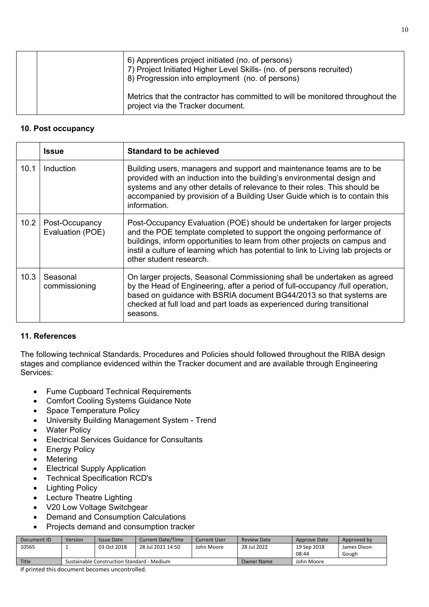|  | 6) Apprentices project initiated (no. of persons)<br>7) Project Initiated Higher Level Skills- (no. of persons recruited)<br>8) Progression into employment (no. of persons) |
|--|------------------------------------------------------------------------------------------------------------------------------------------------------------------------------|
|  | Metrics that the contractor has committed to will be monitored throughout the<br>project via the Tracker document.                                                           |

#### **10. Post occupancy**

|                   | <b>Issue</b>                       | <b>Standard to be achieved</b>                                                                                                                                                                                                                                                                                                                  |
|-------------------|------------------------------------|-------------------------------------------------------------------------------------------------------------------------------------------------------------------------------------------------------------------------------------------------------------------------------------------------------------------------------------------------|
| 10.1              | <b>Induction</b>                   | Building users, managers and support and maintenance teams are to be<br>provided with an induction into the building's environmental design and<br>systems and any other details of relevance to their roles. This should be<br>accompanied by provision of a Building User Guide which is to contain this<br>information.                      |
| 10.2 <sub>1</sub> | Post-Occupancy<br>Evaluation (POE) | Post-Occupancy Evaluation (POE) should be undertaken for larger projects<br>and the POE template completed to support the ongoing performance of<br>buildings, inform opportunities to learn from other projects on campus and<br>instil a culture of learning which has potential to link to Living lab projects or<br>other student research. |
| 10.3              | Seasonal<br>commissioning          | On larger projects, Seasonal Commissioning shall be undertaken as agreed<br>by the Head of Engineering, after a period of full-occupancy /full operation,<br>based on guidance with BSRIA document BG44/2013 so that systems are<br>checked at full load and part loads as experienced during transitional<br>seasons.                          |

### **11. References**

The following technical Standards, Procedures and Policies should followed throughout the RIBA design stages and compliance evidenced within the Tracker document and are available through Engineering Services:

- Fume Cupboard Technical Requirements
- Comfort Cooling Systems Guidance Note
- Space Temperature Policy
- University Building Management System Trend
- Water Policy
- Electrical Services Guidance for Consultants
- Energy Policy
- Metering
- Electrical Supply Application
- Technical Specification RCD's
- Lighting Policy
- Lecture Theatre Lighting
- V20 Low Voltage Switchgear
- Demand and Consumption Calculations
- Projects demand and consumption tracker

| Document ID  | Version                                    | Issue Date  | <b>Current Date/Time</b> | <b>Current User</b> | <b>Review Date</b> | Approve Date | Approved by  |
|--------------|--------------------------------------------|-------------|--------------------------|---------------------|--------------------|--------------|--------------|
| 10565        |                                            | 03 Oct 2018 | 28 Jul 2021 14:50        | John Moore          | 28 Jul 2022        | 19 Sep 2018  | James Dixon- |
|              |                                            |             |                          |                     |                    | 08:44        | Gough        |
| <b>Title</b> | Sustainable Construction Standard - Medium |             |                          |                     | <b>Owner Name</b>  | John Moore   |              |